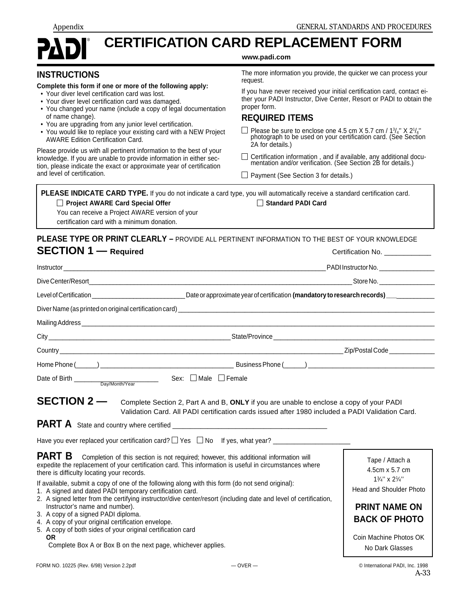.

# **CERTIFICATION CARD REPLACEMENT FORM**

#### **www.padi.com**

| <b>INSTRUCTIONS</b> |  |  |  |  |  |  |
|---------------------|--|--|--|--|--|--|
|                     |  |  |  |  |  |  |

- **Complete this form if one or more of the following apply:** • Your diver level certification card was lost.
- Your diver level certification card was damaged.
- You changed your name (include a copy of legal documentation of name change).
- You are upgrading from any junior level certification.
- You would like to replace your existing card with a NEW Project AWARE Edition Certification Card.

Please provide us with all pertinent information to the best of your knowledge. If you are unable to provide information in either section, please indicate the exact or approximate year of certification and level of certification.

The more information you provide, the quicker we can process your request.

If you have never received your initial certification card, contact either your PADI Instructor, Dive Center, Resort or PADI to obtain the proper form.

#### **REQUIRED ITEMS**

Please be sure to enclose one 4.5 cm X 5.7 cm /  $1<sup>3</sup>/4$ " X 2<sup>1</sup> photograph to be used on your certification card. (See Section 2A for details.)

Certification information , and if available, any additional documentation and/or verification. (See Section 2B for details.)

 $\Box$  Payment (See Section 3 for details.)

|                                                 | PLEASE INDICATE CARD TYPE. If you do not indicate a card type, you will automatically receive a standard certification card. |
|-------------------------------------------------|------------------------------------------------------------------------------------------------------------------------------|
| Project AWARE Card Special Offer                | Standard PADI Card                                                                                                           |
| You can receive a Project AWARE version of your |                                                                                                                              |
| certification card with a minimum donation.     |                                                                                                                              |

### **PLEASE TYPE OR PRINT CLEARLY –** PROVIDE ALL PERTINENT INFORMATION TO THE BEST OF YOUR KNOWLEDGE **SECTION 1** — Required **CECTION** 1 — Required

|                                                                                                                                                                                                                                                                                                                                                                                                                                                                                                        | Instructor and the contract of the contract of the contract of the contract of the contract of the contract of                                                                                                                                                                                                      | PADI Instructor No. _________________                                                                                                                                |
|--------------------------------------------------------------------------------------------------------------------------------------------------------------------------------------------------------------------------------------------------------------------------------------------------------------------------------------------------------------------------------------------------------------------------------------------------------------------------------------------------------|---------------------------------------------------------------------------------------------------------------------------------------------------------------------------------------------------------------------------------------------------------------------------------------------------------------------|----------------------------------------------------------------------------------------------------------------------------------------------------------------------|
|                                                                                                                                                                                                                                                                                                                                                                                                                                                                                                        |                                                                                                                                                                                                                                                                                                                     |                                                                                                                                                                      |
|                                                                                                                                                                                                                                                                                                                                                                                                                                                                                                        | Level of Certification _________________________________Date or approximate year of certification (mandatory to research records)                                                                                                                                                                                   |                                                                                                                                                                      |
|                                                                                                                                                                                                                                                                                                                                                                                                                                                                                                        | Diver Name (as printed on original certification card)<br><br>University and the contract of the contract of the contract of the contract of the contract of the contract of the contract of the contract of the contract of the c                                                                                  |                                                                                                                                                                      |
|                                                                                                                                                                                                                                                                                                                                                                                                                                                                                                        |                                                                                                                                                                                                                                                                                                                     |                                                                                                                                                                      |
|                                                                                                                                                                                                                                                                                                                                                                                                                                                                                                        |                                                                                                                                                                                                                                                                                                                     |                                                                                                                                                                      |
|                                                                                                                                                                                                                                                                                                                                                                                                                                                                                                        | Country <b>Country Countries and Countries and Countries and Countries and Country Country</b>                                                                                                                                                                                                                      | Zip/Postal Code _____________                                                                                                                                        |
|                                                                                                                                                                                                                                                                                                                                                                                                                                                                                                        |                                                                                                                                                                                                                                                                                                                     |                                                                                                                                                                      |
| Date of Birth $\frac{1}{\text{Day/Month/Year}}$ Sex: $\Box$ Male $\Box$ Female                                                                                                                                                                                                                                                                                                                                                                                                                         |                                                                                                                                                                                                                                                                                                                     |                                                                                                                                                                      |
| <b>SECTION 2 —</b>                                                                                                                                                                                                                                                                                                                                                                                                                                                                                     | Complete Section 2, Part A and B, ONLY if you are unable to enclose a copy of your PADI<br>Validation Card, All PADI certification cards issued after 1980 included a PADI Validation Card.                                                                                                                         |                                                                                                                                                                      |
| <b>PART B</b><br>there is difficulty locating your records.<br>If available, submit a copy of one of the following along with this form (do not send original):<br>1. A signed and dated PADI temporary certification card.<br>Instructor's name and number).<br>3. A copy of a signed PADI diploma.<br>4. A copy of your original certification envelope.<br>5. A copy of both sides of your original certification card<br><b>OR</b><br>Complete Box A or Box B on the next page, whichever applies. | Completion of this section is not required; however, this additional information will<br>expedite the replacement of your certification card. This information is useful in circumstances where<br>2. A signed letter from the certifying instructor/dive center/resort (including date and level of certification, | Tape / Attach a<br>4.5cm x 5.7 cm<br>$13/4$ " x $21/4$ "<br><b>Head and Shoulder Photo</b><br><b>PRINT NAME ON</b><br><b>BACK OF PHOTO</b><br>Coin Machine Photos OK |